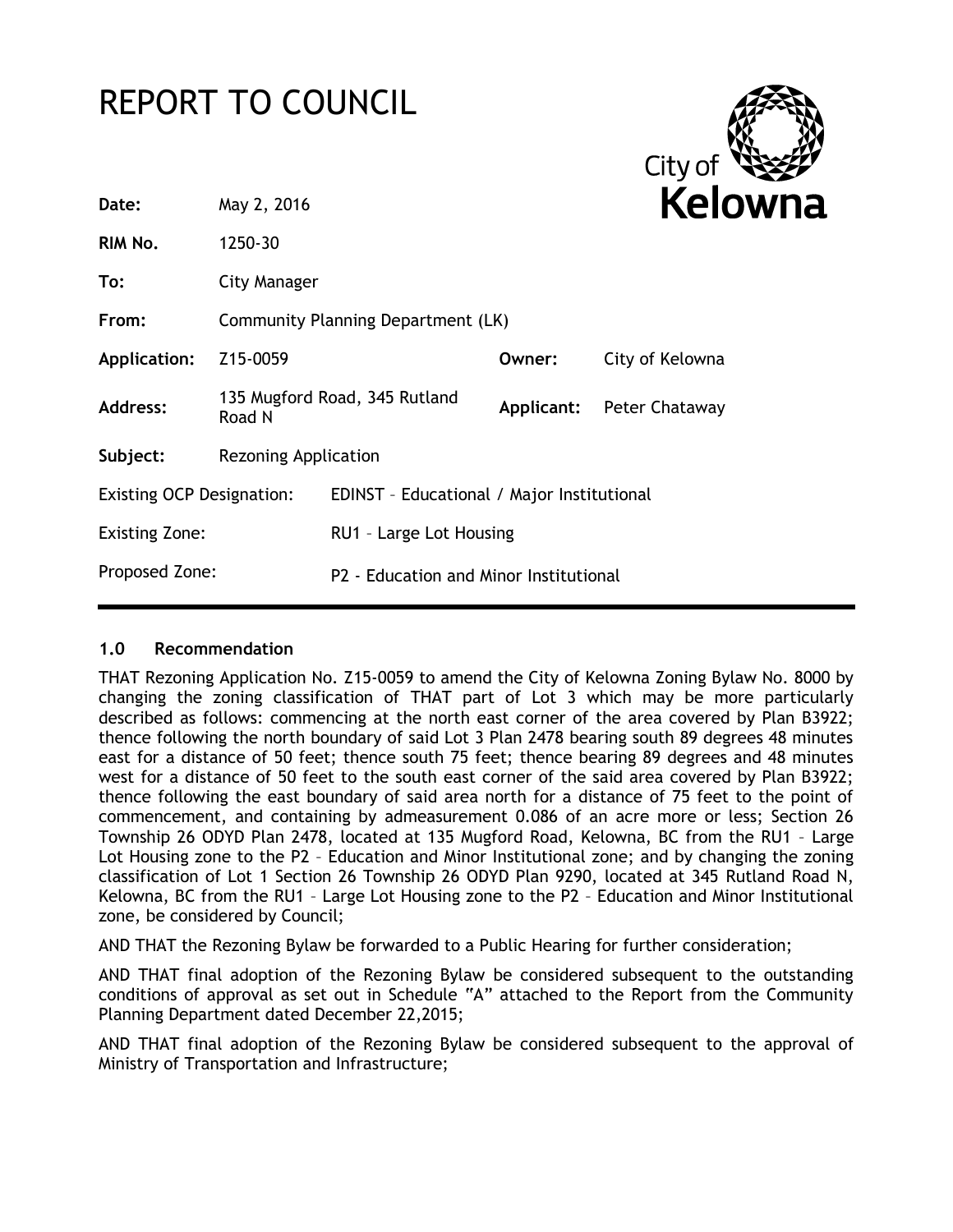# REPORT TO COUNCIL



| Date:                            | May 2, 2016                        |                                            |        |                           |
|----------------------------------|------------------------------------|--------------------------------------------|--------|---------------------------|
| RIM No.                          | 1250-30                            |                                            |        |                           |
| To:                              | City Manager                       |                                            |        |                           |
| From:                            | Community Planning Department (LK) |                                            |        |                           |
| Application:                     | Z <sub>15</sub> -0059              |                                            | Owner: | City of Kelowna           |
| Address:                         | Road N                             | 135 Mugford Road, 345 Rutland              |        | Applicant: Peter Chataway |
| Subject:                         | <b>Rezoning Application</b>        |                                            |        |                           |
| <b>Existing OCP Designation:</b> |                                    | EDINST - Educational / Major Institutional |        |                           |
| <b>Existing Zone:</b>            |                                    | RU1 - Large Lot Housing                    |        |                           |
| Proposed Zone:                   |                                    | P2 - Education and Minor Institutional     |        |                           |

#### **1.0 Recommendation**

THAT Rezoning Application No. Z15-0059 to amend the City of Kelowna Zoning Bylaw No. 8000 by changing the zoning classification of THAT part of Lot 3 which may be more particularly described as follows: commencing at the north east corner of the area covered by Plan B3922; thence following the north boundary of said Lot 3 Plan 2478 bearing south 89 degrees 48 minutes east for a distance of 50 feet; thence south 75 feet; thence bearing 89 degrees and 48 minutes west for a distance of 50 feet to the south east corner of the said area covered by Plan B3922; thence following the east boundary of said area north for a distance of 75 feet to the point of commencement, and containing by admeasurement 0.086 of an acre more or less; Section 26 Township 26 ODYD Plan 2478, located at 135 Mugford Road, Kelowna, BC from the RU1 – Large Lot Housing zone to the P2 – Education and Minor Institutional zone; and by changing the zoning classification of Lot 1 Section 26 Township 26 ODYD Plan 9290, located at 345 Rutland Road N, Kelowna, BC from the RU1 – Large Lot Housing zone to the P2 – Education and Minor Institutional zone, be considered by Council;

AND THAT the Rezoning Bylaw be forwarded to a Public Hearing for further consideration;

AND THAT final adoption of the Rezoning Bylaw be considered subsequent to the outstanding conditions of approval as set out in Schedule "A" attached to the Report from the Community Planning Department dated December 22,2015;

AND THAT final adoption of the Rezoning Bylaw be considered subsequent to the approval of Ministry of Transportation and Infrastructure;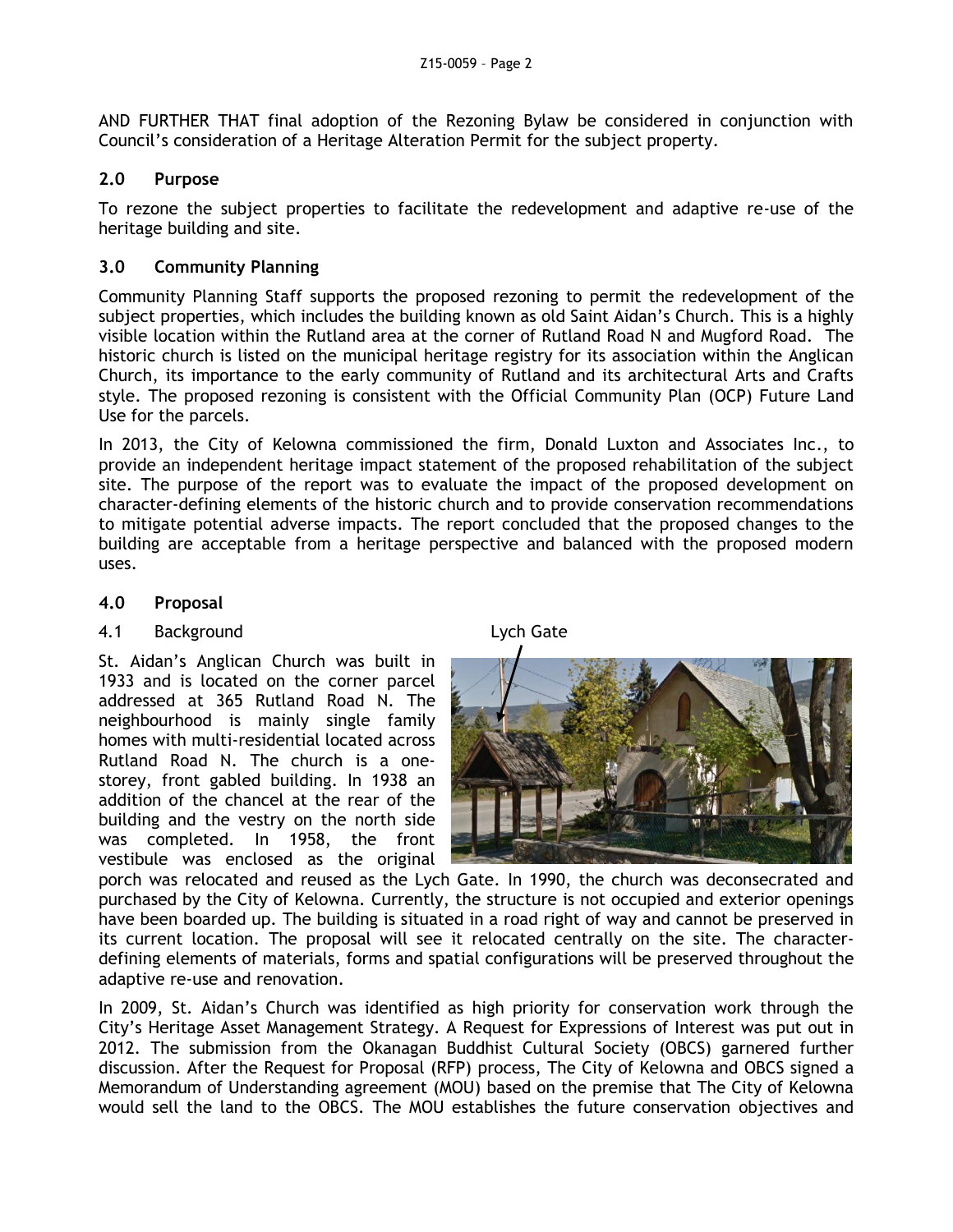AND FURTHER THAT final adoption of the Rezoning Bylaw be considered in conjunction with Council's consideration of a Heritage Alteration Permit for the subject property.

#### **2.0 Purpose**

To rezone the subject properties to facilitate the redevelopment and adaptive re-use of the heritage building and site.

#### **3.0 Community Planning**

Community Planning Staff supports the proposed rezoning to permit the redevelopment of the subject properties, which includes the building known as old Saint Aidan's Church. This is a highly visible location within the Rutland area at the corner of Rutland Road N and Mugford Road. The historic church is listed on the municipal heritage registry for its association within the Anglican Church, its importance to the early community of Rutland and its architectural Arts and Crafts style. The proposed rezoning is consistent with the Official Community Plan (OCP) Future Land Use for the parcels.

In 2013, the City of Kelowna commissioned the firm, Donald Luxton and Associates Inc., to provide an independent heritage impact statement of the proposed rehabilitation of the subject site. The purpose of the report was to evaluate the impact of the proposed development on character-defining elements of the historic church and to provide conservation recommendations to mitigate potential adverse impacts. The report concluded that the proposed changes to the building are acceptable from a heritage perspective and balanced with the proposed modern uses.

#### **4.0 Proposal**

#### 4.1 Background Lych Gate

St. Aidan's Anglican Church was built in 1933 and is located on the corner parcel addressed at 365 Rutland Road N. The neighbourhood is mainly single family homes with multi-residential located across Rutland Road N. The church is a onestorey, front gabled building. In 1938 an addition of the chancel at the rear of the building and the vestry on the north side was completed. In 1958, the front vestibule was enclosed as the original



porch was relocated and reused as the Lych Gate. In 1990, the church was deconsecrated and purchased by the City of Kelowna. Currently, the structure is not occupied and exterior openings have been boarded up. The building is situated in a road right of way and cannot be preserved in its current location. The proposal will see it relocated centrally on the site. The characterdefining elements of materials, forms and spatial configurations will be preserved throughout the adaptive re-use and renovation.

In 2009, St. Aidan's Church was identified as high priority for conservation work through the City's Heritage Asset Management Strategy. A Request for Expressions of Interest was put out in 2012. The submission from the Okanagan Buddhist Cultural Society (OBCS) garnered further discussion. After the Request for Proposal (RFP) process, The City of Kelowna and OBCS signed a Memorandum of Understanding agreement (MOU) based on the premise that The City of Kelowna would sell the land to the OBCS. The MOU establishes the future conservation objectives and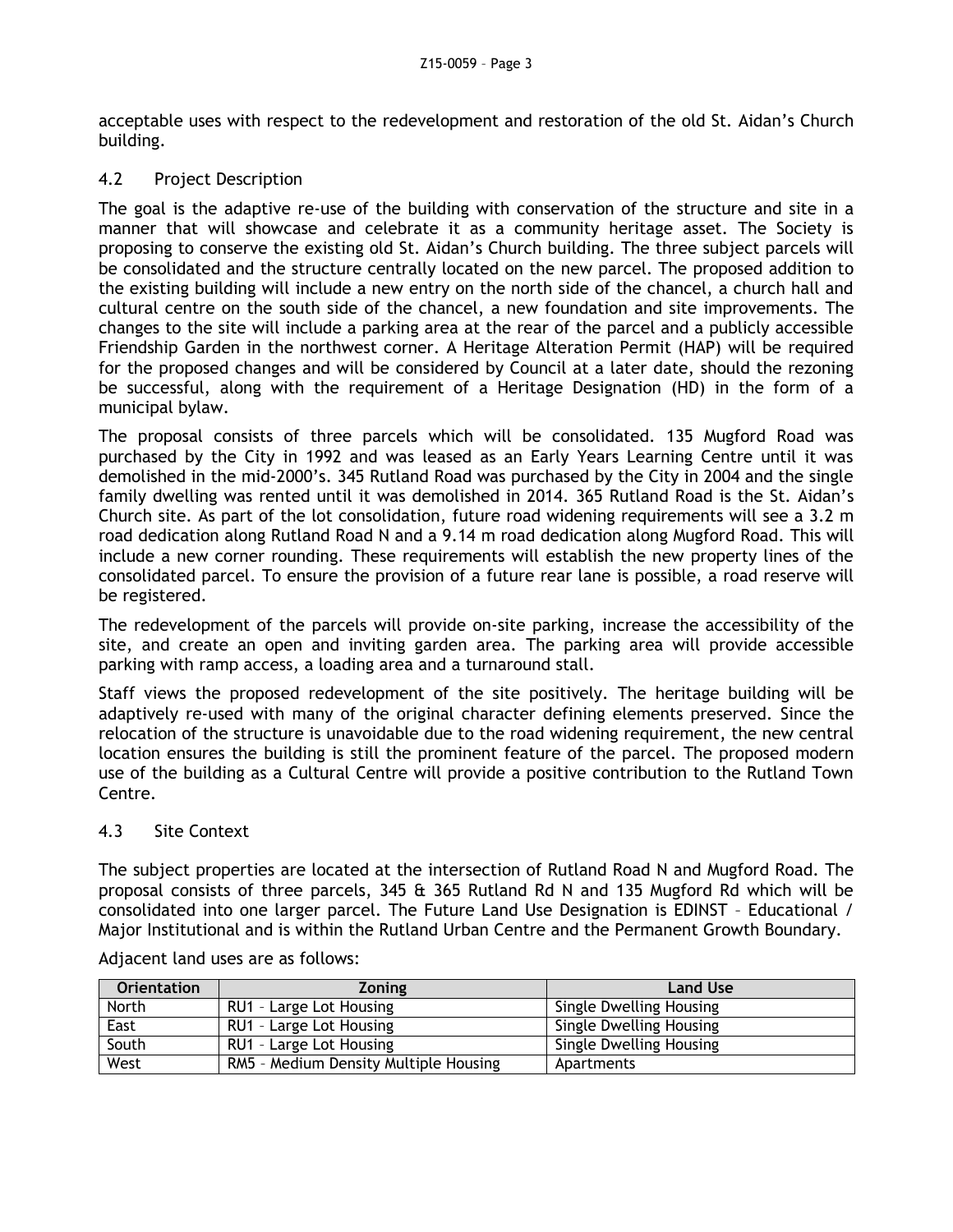acceptable uses with respect to the redevelopment and restoration of the old St. Aidan's Church building.

#### 4.2 Project Description

The goal is the adaptive re-use of the building with conservation of the structure and site in a manner that will showcase and celebrate it as a community heritage asset. The Society is proposing to conserve the existing old St. Aidan's Church building. The three subject parcels will be consolidated and the structure centrally located on the new parcel. The proposed addition to the existing building will include a new entry on the north side of the chancel, a church hall and cultural centre on the south side of the chancel, a new foundation and site improvements. The changes to the site will include a parking area at the rear of the parcel and a publicly accessible Friendship Garden in the northwest corner. A Heritage Alteration Permit (HAP) will be required for the proposed changes and will be considered by Council at a later date, should the rezoning be successful, along with the requirement of a Heritage Designation (HD) in the form of a municipal bylaw.

The proposal consists of three parcels which will be consolidated. 135 Mugford Road was purchased by the City in 1992 and was leased as an Early Years Learning Centre until it was demolished in the mid-2000's. 345 Rutland Road was purchased by the City in 2004 and the single family dwelling was rented until it was demolished in 2014. 365 Rutland Road is the St. Aidan's Church site. As part of the lot consolidation, future road widening requirements will see a 3.2 m road dedication along Rutland Road N and a 9.14 m road dedication along Mugford Road. This will include a new corner rounding. These requirements will establish the new property lines of the consolidated parcel. To ensure the provision of a future rear lane is possible, a road reserve will be registered.

The redevelopment of the parcels will provide on-site parking, increase the accessibility of the site, and create an open and inviting garden area. The parking area will provide accessible parking with ramp access, a loading area and a turnaround stall.

Staff views the proposed redevelopment of the site positively. The heritage building will be adaptively re-used with many of the original character defining elements preserved. Since the relocation of the structure is unavoidable due to the road widening requirement, the new central location ensures the building is still the prominent feature of the parcel. The proposed modern use of the building as a Cultural Centre will provide a positive contribution to the Rutland Town Centre.

#### 4.3 Site Context

The subject properties are located at the intersection of Rutland Road N and Mugford Road. The proposal consists of three parcels, 345 & 365 Rutland Rd N and 135 Mugford Rd which will be consolidated into one larger parcel. The Future Land Use Designation is EDINST – Educational / Major Institutional and is within the Rutland Urban Centre and the Permanent Growth Boundary.

| <b>Orientation</b> | <b>Zoning</b>                         | <b>Land Use</b>         |
|--------------------|---------------------------------------|-------------------------|
| North              | RU1 - Large Lot Housing               | Single Dwelling Housing |
| East               | RU1 - Large Lot Housing               | Single Dwelling Housing |
| South              | RU1 - Large Lot Housing               | Single Dwelling Housing |
| West               | RM5 - Medium Density Multiple Housing | Apartments              |

Adjacent land uses are as follows: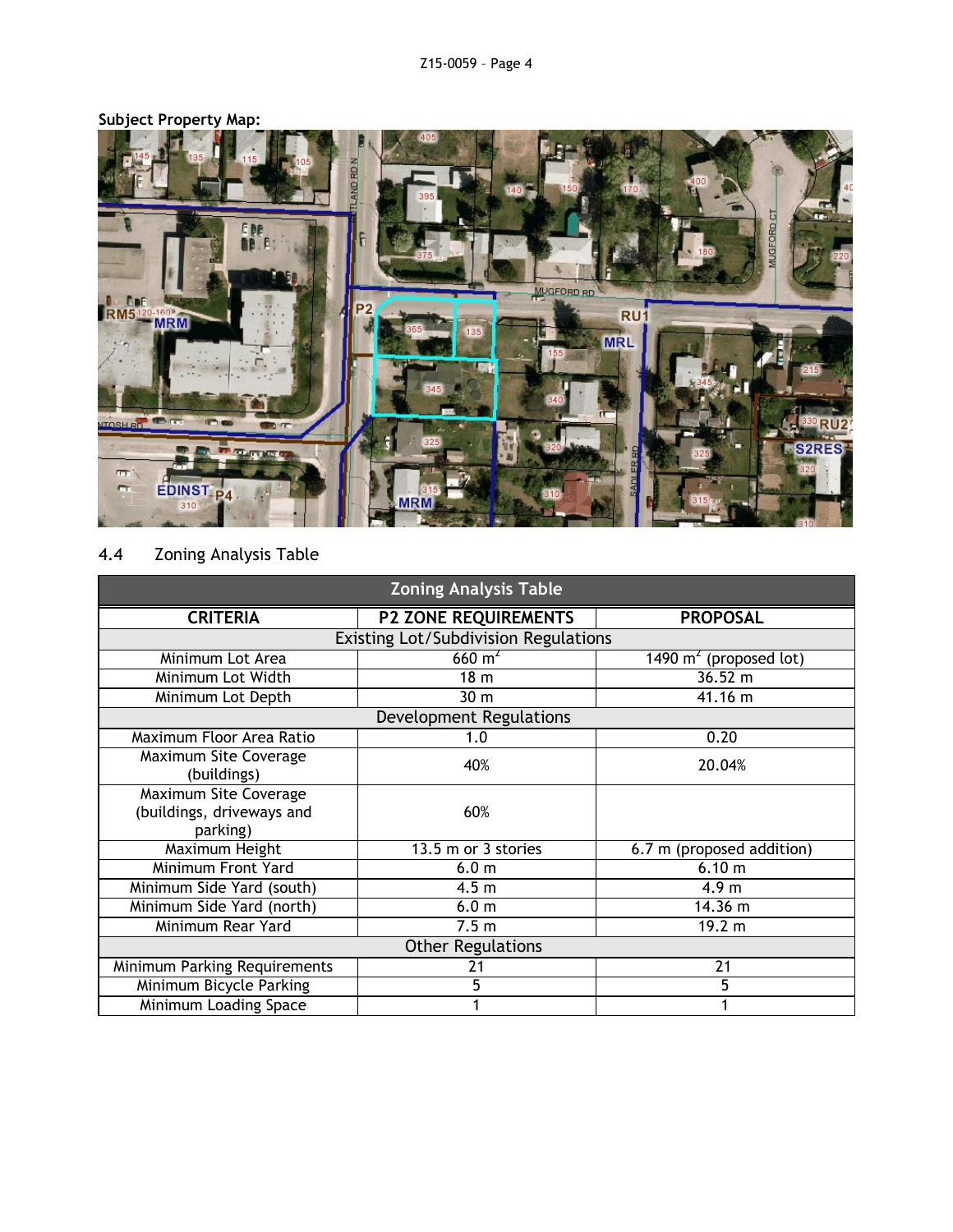

## **Subject Property Map:**

### 4.4 Zoning Analysis Table

| <b>Zoning Analysis Table</b>                                          |                             |                           |  |  |  |
|-----------------------------------------------------------------------|-----------------------------|---------------------------|--|--|--|
| <b>CRITERIA</b>                                                       | <b>P2 ZONE REQUIREMENTS</b> | <b>PROPOSAL</b>           |  |  |  |
| Existing Lot/Subdivision Regulations                                  |                             |                           |  |  |  |
| Minimum Lot Area                                                      | $660 \text{ m}^2$           | 1490 $m2$ (proposed lot)  |  |  |  |
| Minimum Lot Width                                                     | $\overline{18}$ m           | 36.52 m                   |  |  |  |
| Minimum Lot Depth                                                     | 30 <sub>m</sub>             | 41.16 m                   |  |  |  |
| Development Regulations                                               |                             |                           |  |  |  |
| Maximum Floor Area Ratio                                              | 1.0                         | 0.20                      |  |  |  |
| Maximum Site Coverage<br>(buildings)                                  | 40%                         | 20.04%                    |  |  |  |
| <b>Maximum Site Coverage</b><br>(buildings, driveways and<br>parking) | 60%                         |                           |  |  |  |
| Maximum Height                                                        | 13.5 m or 3 stories         | 6.7 m (proposed addition) |  |  |  |
| Minimum Front Yard                                                    | 6.0 <sub>m</sub>            | 6.10 m                    |  |  |  |
| Minimum Side Yard (south)                                             | 4.5 <sub>m</sub>            | 4.9 <sub>m</sub>          |  |  |  |
| Minimum Side Yard (north)                                             | 6.0 <sub>m</sub>            | 14.36 m                   |  |  |  |
| Minimum Rear Yard                                                     | 7.5 <sub>m</sub>            | 19.2 m                    |  |  |  |
| <b>Other Regulations</b>                                              |                             |                           |  |  |  |
| Minimum Parking Requirements                                          | 21                          | 21                        |  |  |  |
| Minimum Bicycle Parking                                               | 5                           | 5                         |  |  |  |
| Minimum Loading Space                                                 |                             |                           |  |  |  |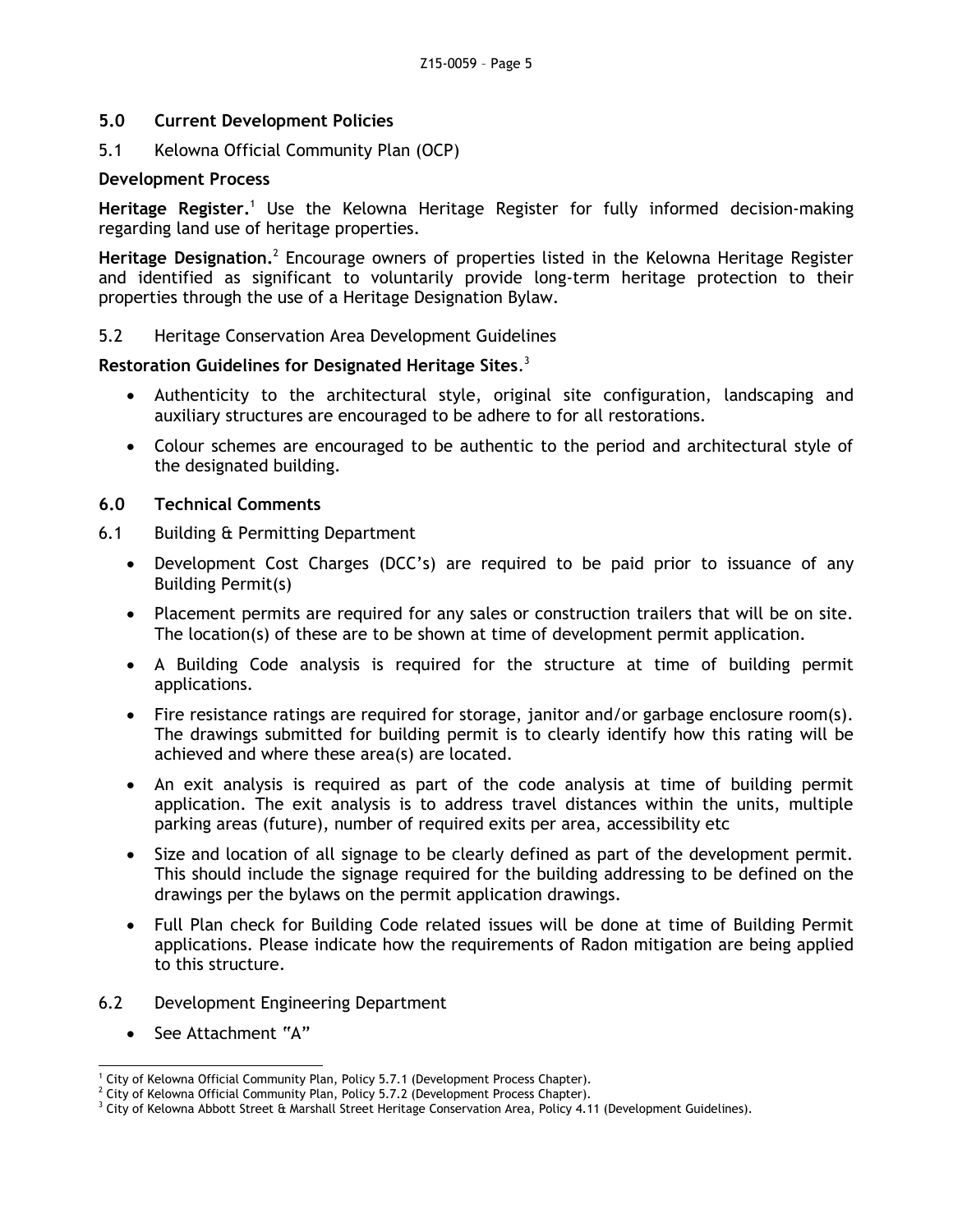#### **5.0 Current Development Policies**

5.1 Kelowna Official Community Plan (OCP)

#### **Development Process**

Heritage Register.<sup>1</sup> Use the Kelowna Heritage Register for fully informed decision-making regarding land use of heritage properties.

Heritage Designation.<sup>2</sup> Encourage owners of properties listed in the Kelowna Heritage Register and identified as significant to voluntarily provide long-term heritage protection to their properties through the use of a Heritage Designation Bylaw.

#### 5.2 Heritage Conservation Area Development Guidelines

#### **Restoration Guidelines for Designated Heritage Sites**. 3

- Authenticity to the architectural style, original site configuration, landscaping and auxiliary structures are encouraged to be adhere to for all restorations.
- Colour schemes are encouraged to be authentic to the period and architectural style of the designated building.

#### **6.0 Technical Comments**

- 6.1 Building & Permitting Department
	- Development Cost Charges (DCC's) are required to be paid prior to issuance of any Building Permit(s)
	- Placement permits are required for any sales or construction trailers that will be on site. The location(s) of these are to be shown at time of development permit application.
	- A Building Code analysis is required for the structure at time of building permit applications.
	- Fire resistance ratings are required for storage, janitor and/or garbage enclosure room(s). The drawings submitted for building permit is to clearly identify how this rating will be achieved and where these area(s) are located.
	- An exit analysis is required as part of the code analysis at time of building permit application. The exit analysis is to address travel distances within the units, multiple parking areas (future), number of required exits per area, accessibility etc
	- Size and location of all signage to be clearly defined as part of the development permit. This should include the signage required for the building addressing to be defined on the drawings per the bylaws on the permit application drawings.
	- Full Plan check for Building Code related issues will be done at time of Building Permit applications. Please indicate how the requirements of Radon mitigation are being applied to this structure.
- 6.2 Development Engineering Department
	- See Attachment "A"

<sup>-</sup><sup>1</sup> City of Kelowna Official Community Plan, Policy 5.7.1 (Development Process Chapter).

 $2$  City of Kelowna Official Community Plan, Policy 5.7.2 (Development Process Chapter).

 $3$  City of Kelowna Abbott Street & Marshall Street Heritage Conservation Area, Policy 4.11 (Development Guidelines).